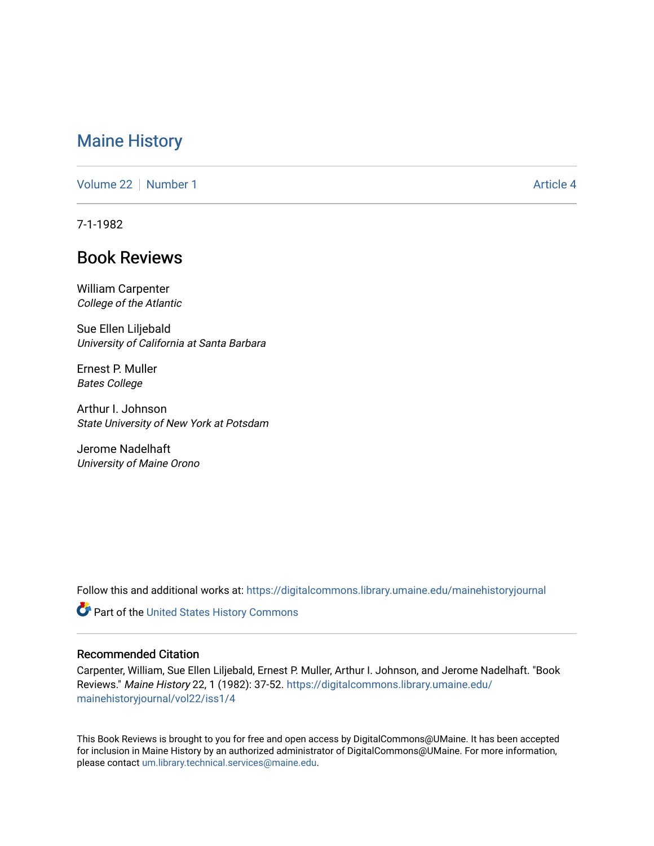# [Maine History](https://digitalcommons.library.umaine.edu/mainehistoryjournal)

[Volume 22](https://digitalcommons.library.umaine.edu/mainehistoryjournal/vol22) [Number 1](https://digitalcommons.library.umaine.edu/mainehistoryjournal/vol22/iss1) [Article 4](https://digitalcommons.library.umaine.edu/mainehistoryjournal/vol22/iss1/4) Article 4

7-1-1982

# Book Reviews

William Carpenter College of the Atlantic

Sue Ellen Liljebald University of California at Santa Barbara

Ernest P. Muller Bates College

Arthur I. Johnson State University of New York at Potsdam

Jerome Nadelhaft University of Maine Orono

Follow this and additional works at: [https://digitalcommons.library.umaine.edu/mainehistoryjournal](https://digitalcommons.library.umaine.edu/mainehistoryjournal?utm_source=digitalcommons.library.umaine.edu%2Fmainehistoryjournal%2Fvol22%2Fiss1%2F4&utm_medium=PDF&utm_campaign=PDFCoverPages) 

Part of the [United States History Commons](http://network.bepress.com/hgg/discipline/495?utm_source=digitalcommons.library.umaine.edu%2Fmainehistoryjournal%2Fvol22%2Fiss1%2F4&utm_medium=PDF&utm_campaign=PDFCoverPages) 

#### Recommended Citation

Carpenter, William, Sue Ellen Liljebald, Ernest P. Muller, Arthur I. Johnson, and Jerome Nadelhaft. "Book Reviews." Maine History 22, 1 (1982): 37-52. [https://digitalcommons.library.umaine.edu/](https://digitalcommons.library.umaine.edu/mainehistoryjournal/vol22/iss1/4?utm_source=digitalcommons.library.umaine.edu%2Fmainehistoryjournal%2Fvol22%2Fiss1%2F4&utm_medium=PDF&utm_campaign=PDFCoverPages) [mainehistoryjournal/vol22/iss1/4](https://digitalcommons.library.umaine.edu/mainehistoryjournal/vol22/iss1/4?utm_source=digitalcommons.library.umaine.edu%2Fmainehistoryjournal%2Fvol22%2Fiss1%2F4&utm_medium=PDF&utm_campaign=PDFCoverPages)

This Book Reviews is brought to you for free and open access by DigitalCommons@UMaine. It has been accepted for inclusion in Maine History by an authorized administrator of DigitalCommons@UMaine. For more information, please contact [um.library.technical.services@maine.edu.](mailto:um.library.technical.services@maine.edu)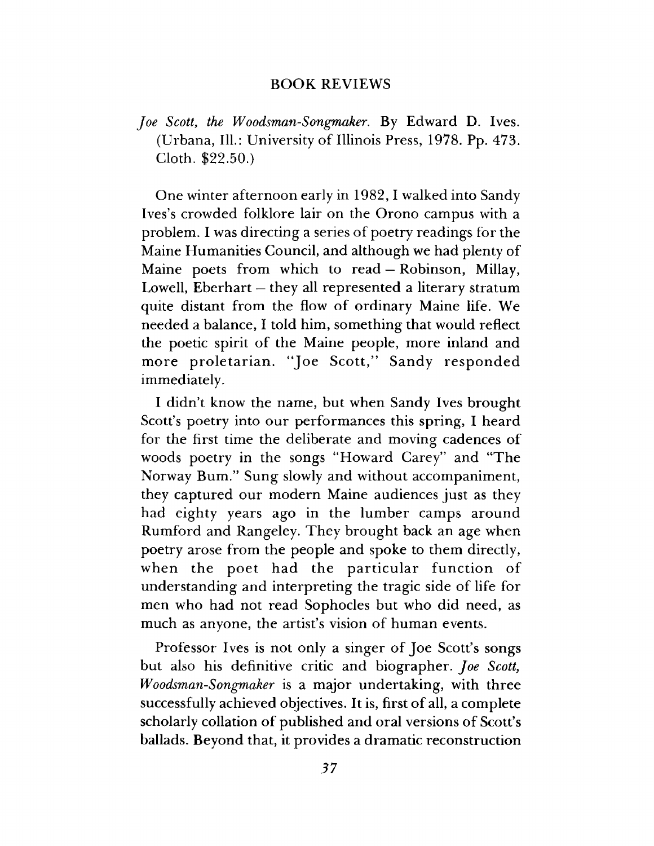### **BOOK REVIEWS**

*Joe Scott*, *the Woodsman-Songmaker.* By Edward D. Ives. (Urbana, 111.: University of Illinois Press, 1978. Pp. 473. Cloth. \$22.50.)

One winter afternoon early in 1982, I walked into Sandy Ives's crowded folklore lair on the Orono campus with a problem. I was directing a series of poetry readings for the Maine Humanities Council, and although we had plenty of Maine poets from which to read — Robinson, Millay, Lowell, Eberhart — they all represented a literary stratum quite distant from the flow of ordinary Maine life. We needed a balance, I told him, something that would reflect the poetic spirit of the Maine people, more inland and more proletarian. "Joe Scott," Sandy responded immediately.

I didn't know the name, but when Sandy Ives brought Scott's poetry into our performances this spring, I heard for the first time the deliberate and moving cadences of woods poetry in the songs "Howard Carey" and "The Norway Bum." Sung slowly and without accompaniment, they captured our modern Maine audiences just as they had eighty years ago in the lumber camps around Rumford and Rangeley. They brought back an age when poetry arose from the people and spoke to them directly, when the poet had the particular function of understanding and interpreting the tragic side of life for men who had not read Sophocles but who did need, as much as anyone, the artist's vision of human events.

Professor Ives is not only a singer of Joe Scott's songs but also his definitive critic and biographer. *Joe Scott*, *Woodsman-Songmaker* is a major undertaking, with three successfully achieved objectives. It is, first of all, a complete scholarly collation of published and oral versions of Scott's ballads. Beyond that, it provides a dramatic reconstruction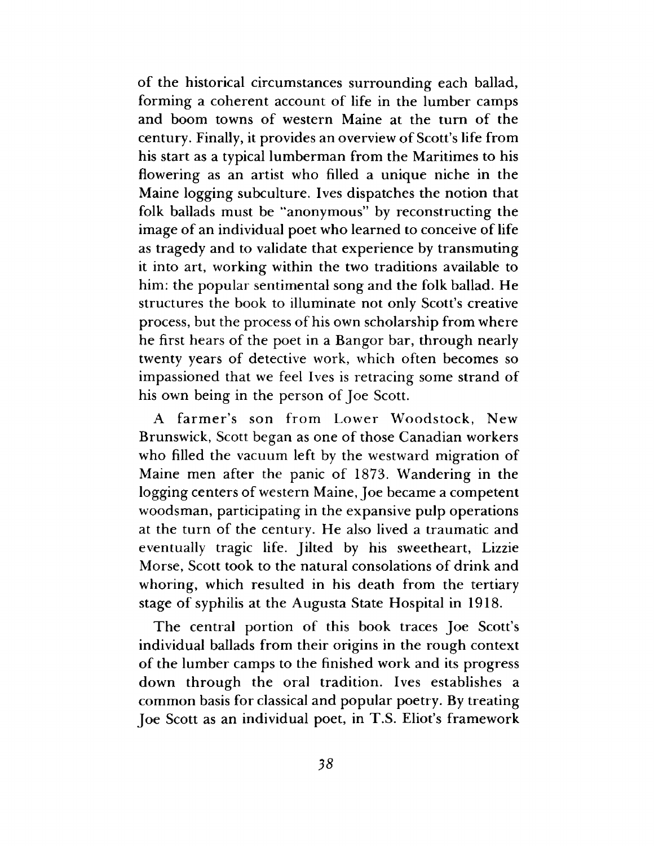of the historical circumstances surrounding each ballad, forming a coherent account of life in the lumber camps and boom towns of western Maine at the turn of the century. Finally, it provides an overview of Scott's life from his start as a typical lumberman from the Maritimes to his flowering as an artist who filled a unique niche in the Maine logging subculture. Ives dispatches the notion that folk ballads must be "anonymous" by reconstructing the image of an individual poet who learned to conceive of life as tragedy and to validate that experience by transmuting it into art, working within the two traditions available to him: the popular sentimental song and the folk ballad. He structures the book to illuminate not only Scott's creative process, but the process of his own scholarship from where he first hears of the poet in a Bangor bar, through nearly twenty years of detective work, which often becomes so impassioned that we feel Ives is retracing some strand of his own being in the person of Joe Scott.

A farmer's son from Lower Woodstock, New Brunswick, Scott began as one of those Canadian workers who filled the vacuum left by the westward migration of Maine men after the panic of 1873. Wandering in the logging centers of western Maine, Joe became a competent woodsman, participating in the expansive pulp operations at the turn of the century. He also lived a traumatic and eventually tragic life. Jilted by his sweetheart, Lizzie Morse, Scott took to the natural consolations of drink and whoring, which resulted in his death from the tertiary stage of syphilis at the Augusta State Hospital in 1918.

The central portion of this book traces Joe Scott's individual ballads from their origins in the rough context of the lumber camps to the finished work and its progress down through the oral tradition. Ives establishes a common basis for classical and popular poetry. By treating Joe Scott as an individual poet, in T.S. Eliot's framework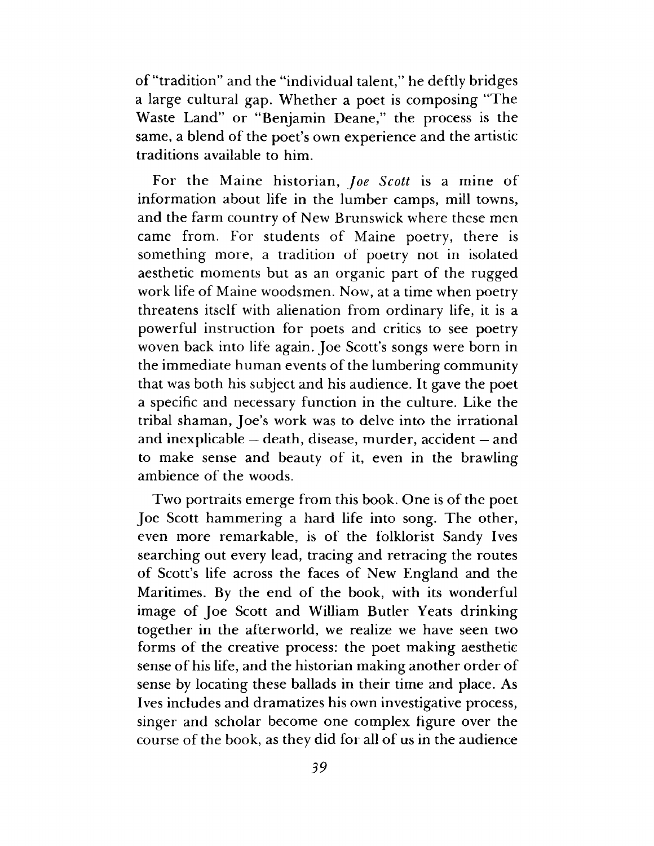of "tradition" and the "individual talent," he deftly bridges a large cultural gap. Whether a poet is composing "The Waste Land" or "Benjamin Deane," the process is the same, a blend of the poet's own experience and the artistic traditions available to him.

For the Maine historian, *Joe Scott* is a mine of information about life in the lumber camps, mill towns, and the farm country of New Brunswick where these men came from. For students of Maine poetry, there is something more, a tradition of poetry not in isolated aesthetic moments but as an organic part of the rugged work life of Maine woodsmen. Now, at a time when poetry threatens itself with alienation from ordinary life, it is a powerful instruction for poets and critics to see poetry woven back into life again. Joe Scott's songs were born in the immediate human events of the lumbering community that was both his subject and his audience. It gave the poet a specific and necessary function in the culture. Like the tribal shaman, Joe's work was to delve into the irrational and inexplicable — death, disease, murder, accident — and to make sense and beauty of it, even in the brawling ambience of the woods.

Two portraits emerge from this book. One is of the poet Joe Scott hammering a hard life into song. The other, even more remarkable, is of the folklorist Sandy Ives searching out every lead, tracing and retracing the routes of Scott's life across the faces of New England and the Maritimes. By the end of the book, with its wonderful image of Joe Scott and William Butler Yeats drinking together in the afterworld, we realize we have seen two forms of the creative process: the poet making aesthetic sense of his life, and the historian making another order of sense by locating these ballads in their time and place. As Ives includes and dramatizes his own investigative process, singer and scholar become one complex figure over the course of the book, as they did for all of us in the audience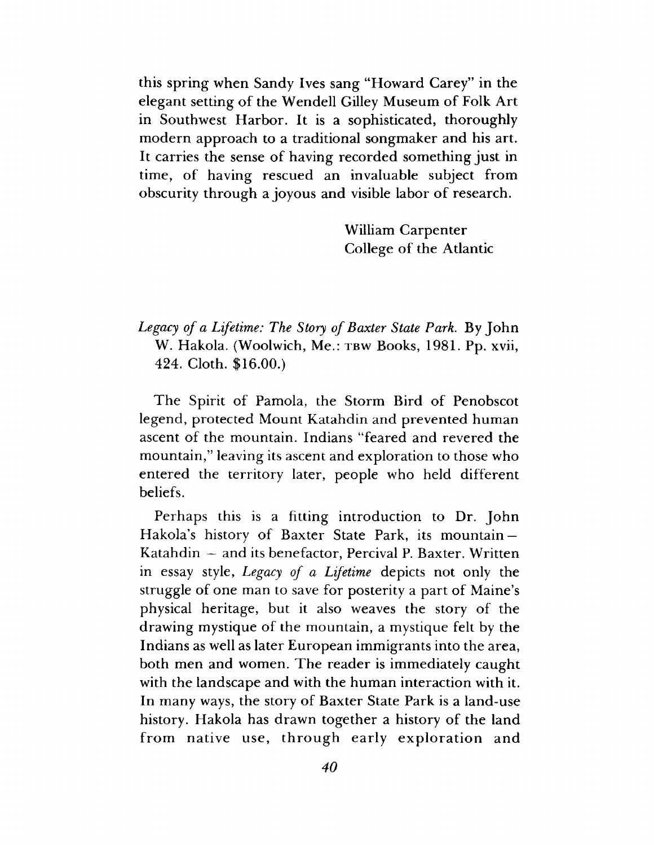this spring when Sandy Ives sang "Howard Carey" in the elegant setting of the Wendell Gilley Museum of Folk Art in Southwest Harbor. It is a sophisticated, thoroughly modern approach to a traditional songmaker and his art. It carries the sense of having recorded something just in time, of having rescued an invaluable subject from obscurity through a joyous and visible labor of research.

> William Carpenter College of the Atlantic

*Legacy of a Lifetime: The Story of Baxter State Park.* By John W. Hakola. (Woolwich, Me.: **tbw** Books, 1981. Pp. xvii, 424. Cloth. \$16.00.)

The Spirit of Pamola, the Storm Bird of Penobscot legend, protected Mount Katahdin and prevented human ascent of the mountain. Indians "feared and revered the mountain," leaving its ascent and exploration to those who entered the territory later, people who held different beliefs.

Perhaps this is a fitting introduction to Dr. John Hakola's history of Baxter State Park, its mountain — Katahdin — and its benefactor, Percival P. Baxter. Written in essay style, *Legacy of a Lifetime* depicts not only the struggle of one man to save for posterity a part of Maine's physical heritage, but it also weaves the story of the drawing mystique of the mountain, a mystique felt by the Indians as well as later European immigrants into the area, both men and women. The reader is immediately caught with the landscape and with the human interaction with it. In many ways, the story of Baxter State Park is a land-use history. Hakola has drawn together a history of the land from native use, through early exploration and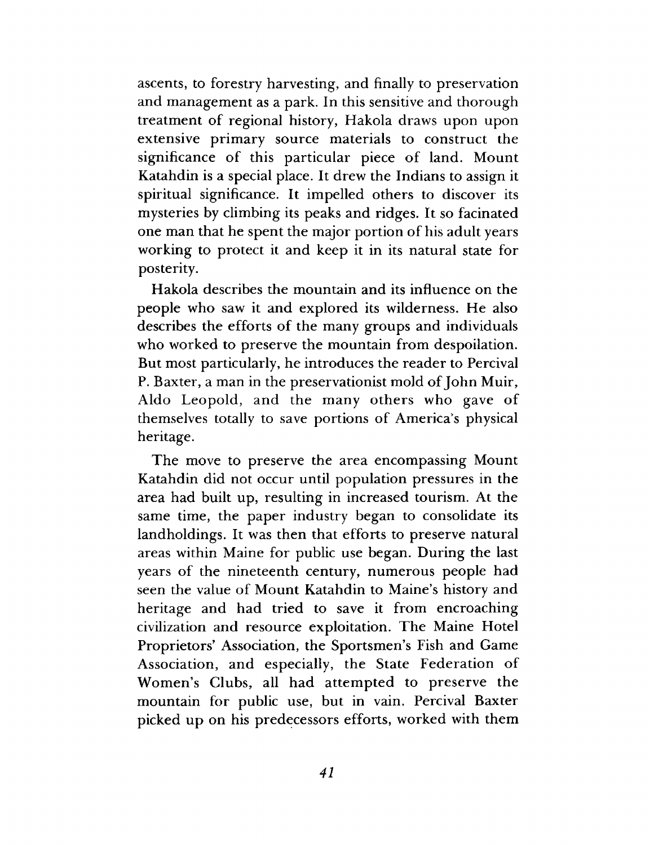ascents, to forestry harvesting, and finally to preservation and management as a park. In this sensitive and thorough treatment of regional history, Hakola draws upon upon extensive primary source materials to construct the significance of this particular piece of land. Mount Katahdin is a special place. It drew the Indians to assign it spiritual significance. It impelled others to discover its mysteries by climbing its peaks and ridges. It so facinated one man that he spent the major portion of his adult years working to protect it and keep it in its natural state for posterity.

Hakola describes the mountain and its influence on the people who saw it and explored its wilderness. He also describes the efforts of the many groups and individuals who worked to preserve the mountain from despoilation. But most particularly, he introduces the reader to Percival P. Baxter, a man in the preservationist mold of John Muir, Aldo Leopold, and the many others who gave of themselves totally to save portions of America's physical heritage.

The move to preserve the area encompassing Mount Katahdin did not occur until population pressures in the area had built up, resulting in increased tourism. At the same time, the paper industry began to consolidate its landholdings. It was then that efforts to preserve natural areas within Maine for public use began. During the last years of the nineteenth century, numerous people had seen the value of Mount Katahdin to Maine's history and heritage and had tried to save it from encroaching civilization and resource exploitation. The Maine Hotel Proprietors' Association, the Sportsmen's Fish and Game Association, and especially, the State Federation of Women's Clubs, all had attempted to preserve the mountain for public use, but in vain. Percival Baxter picked up on his predecessors efforts, worked with them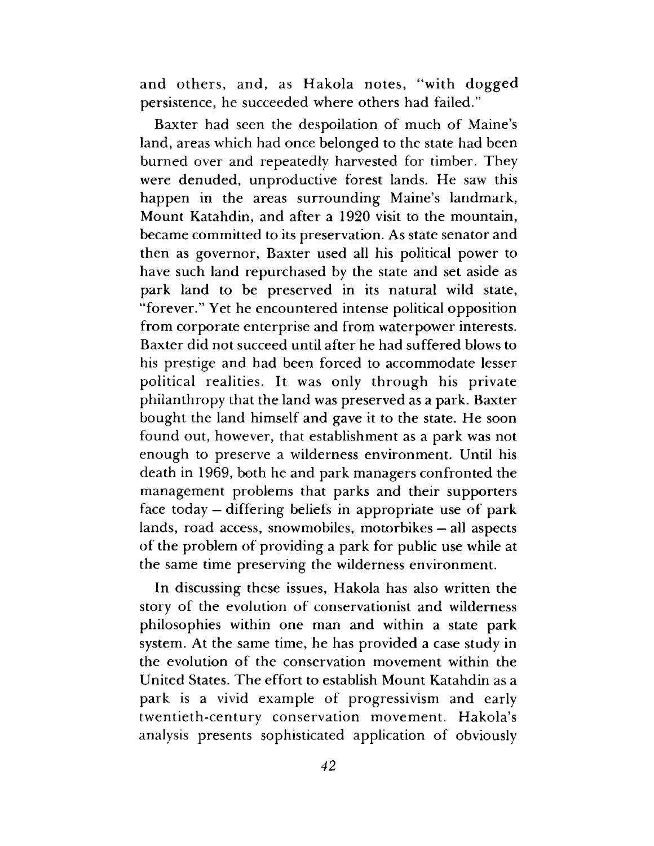and others, and, as Hakola notes, "with dogged persistence, he succeeded where others had failed."

Baxter had seen the despoilation of much of Maine's land, areas which had once belonged to the state had been burned over and repeatedly harvested for timber. They were denuded, unproductive forest lands. He saw this happen in the areas surrounding Maine's landmark, Mount Katahdin, and after a 1920 visit to the mountain, became committed to its preservation. As state senator and then as governor, Baxter used all his political power to have such land repurchased by the state and set aside as park land to be preserved in its natural wild state, "forever." Yet he encountered intense political opposition from corporate enterprise and from waterpower interests. Baxter did not succeed until after he had suffered blows to his prestige and had been forced to accommodate lesser political realities. It was only through his private philanthropy that the land was preserved as a park. Baxter bought the land himself and gave it to the state. He soon found out, however, that establishment as a park was not enough to preserve a wilderness environment. Until his death in 1969, both he and park managers confronted the management problems that parks and their supporters face today — differing beliefs in appropriate use of park lands, road access, snowmobiles, motorbikes — all aspects of the problem of providing a park for public use while at the same time preserving the wilderness environment.

In discussing these issues, Hakola has also written the story of the evolution of conservationist and wilderness philosophies within one man and within a state park system. At the same time, he has provided a case study in the evolution of the conservation movement within the United States. The effort to establish Mount Katahdin as a park is a vivid example of progressivism and early twentieth-century conservation movement. Hakola's analysis presents sophisticated application of obviously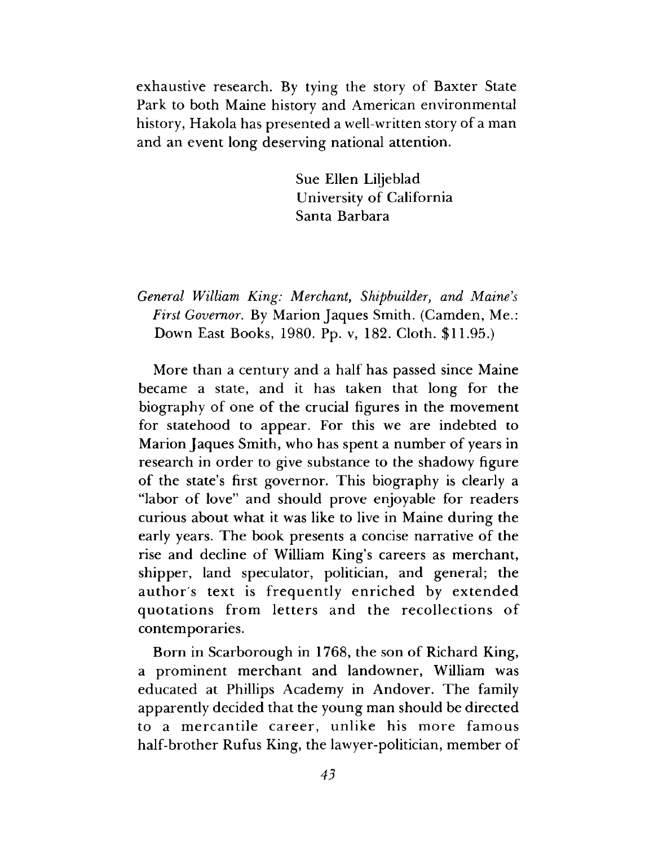exhaustive research. By tying the story of Baxter State Park to both Maine history and American environmental history, Hakola has presented a well-written story of a man and an event long deserving national attention.

> Sue Ellen Liljeblad University of California Santa Barbara

*General William King: Merchant*, *Shipbuilder*, *and Maine's First Governor*. By Marion Jaques Smith. (Camden, Me.: Down East Books, 1980. Pp. v, 182. Cloth. \$11.95.)

More than a century and a half has passed since Maine became a state, and it has taken that long for the biography of one of the crucial figures in the movement for statehood to appear. For this we are indebted to Marion Jaques Smith, who has spent a number of years in research in order to give substance to the shadowy figure of the state's first governor. This biography is clearly a "labor of love" and should prove enjoyable for readers curious about what it was like to live in Maine during the early years. The book presents a concise narrative of the rise and decline of William King's careers as merchant, shipper, land speculator, politician, and general; the author's text is frequently enriched by extended quotations from letters and the recollections of contemporaries.

Born in Scarborough in 1768, the son of Richard King, a prominent merchant and landowner, William was educated at Phillips Academy in Andover. The family apparently decided that the young man should be directed to a mercantile career, unlike his more famous half-brother Rufus King, the lawyer-politician, member of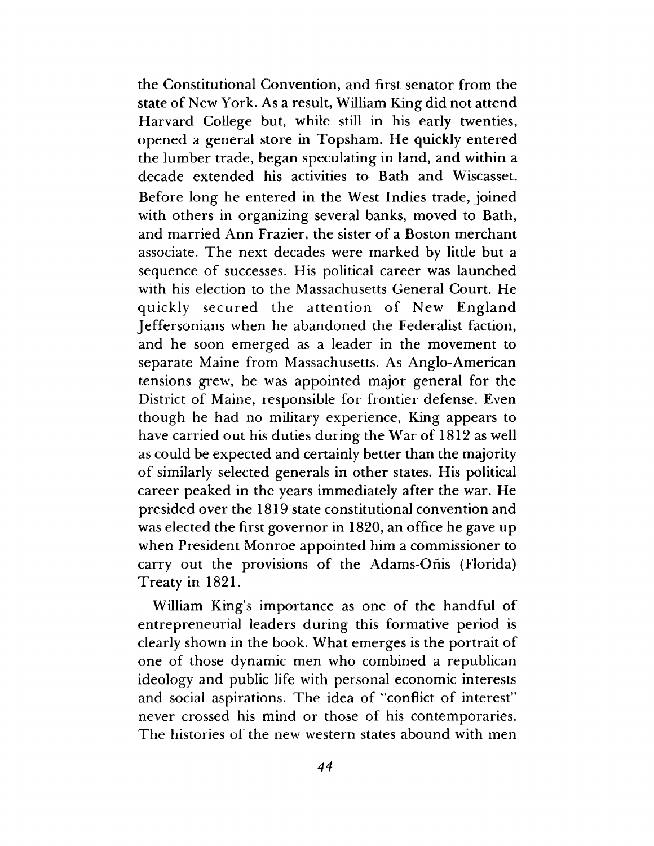the Constitutional Convention, and first senator from the state of New York. As a result, William King did not attend Harvard College but, while still in his early twenties, opened a general store in Topsham. He quickly entered the lumber trade, began speculating in land, and within a decade extended his activities to Bath and Wiscasset. Before long he entered in the West Indies trade, joined with others in organizing several banks, moved to Bath, and married Ann Frazier, the sister of a Boston merchant associate. The next decades were marked by little but a sequence of successes. His political career was launched with his election to the Massachusetts General Court. He quickly secured the attention of New England Jeffersonians when he abandoned the Federalist faction, and he soon emerged as a leader in the movement to separate Maine from Massachusetts. As Anglo-American tensions grew, he was appointed major general for the District of Maine, responsible for frontier defense. Even though he had no military experience, King appears to have carried out his duties during the War of 1812 as well as could be expected and certainly better than the majority of similarly selected generals in other states. His political career peaked in the years immediately after the war. He presided over the 1819 state constitutional convention and was elected the first governor in 1820, an office he gave up when President Monroe appointed him a commissioner to carry out the provisions of the Adams-Onis (Florida) Treaty in 1821.

William King's importance as one of the handful of entrepreneurial leaders during this formative period is clearly shown in the book. What emerges is the portrait of one of those dynamic men who combined a republican ideology and public life with personal economic interests and social aspirations. The idea of "conflict of interest" never crossed his mind or those of his contemporaries. The histories of the new western states abound with men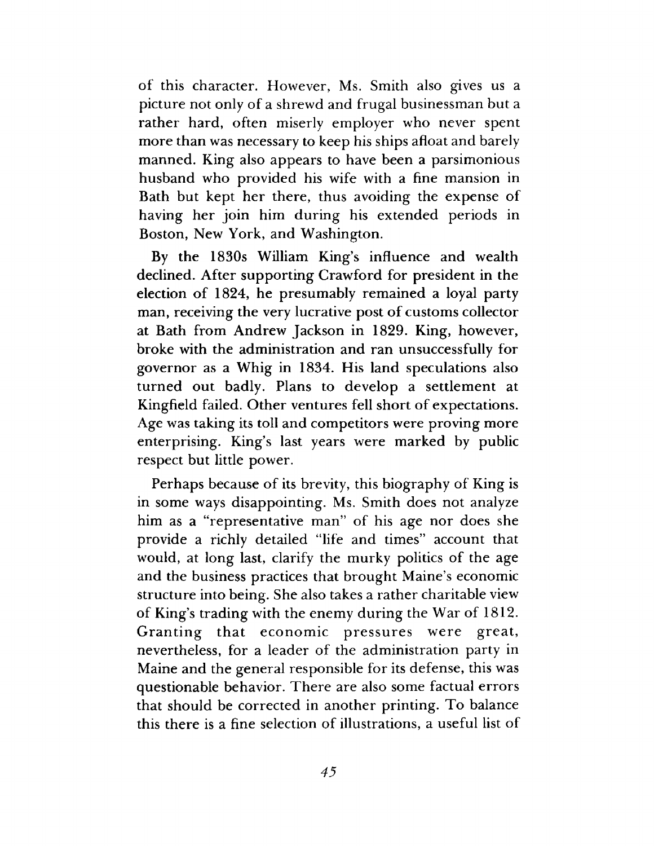of this character. However, Ms. Smith also gives us a picture not only of a shrewd and frugal businessman but a rather hard, often miserly employer who never spent more than was necessary to keep his ships afloat and barely manned. King also appears to have been a parsimonious husband who provided his wife with a fine mansion in Bath but kept her there, thus avoiding the expense of having her join him during his extended periods in Boston, New York, and Washington.

By the 1830s William King's influence and wealth declined. After supporting Crawford for president in the election of 1824, he presumably remained a loyal party man, receiving the very lucrative post of customs collector at Bath from Andrew Jackson in 1829. King, however, broke with the administration and ran unsuccessfully for governor as a Whig in 1834. His land speculations also turned out badly. Plans to develop a settlement at Kingfield failed. Other ventures fell short of expectations. Age was taking its toll and competitors were proving more enterprising. King's last years were marked by public respect but little power.

Perhaps because of its brevity, this biography of King is in some ways disappointing. Ms. Smith does not analyze him as a "representative man" of his age nor does she provide a richly detailed "life and times" account that would, at long last, clarify the murky politics of the age and the business practices that brought Maine's economic structure into being. She also takes a rather charitable view of King's trading with the enemy during the War of 1812. Granting that economic pressures were great, nevertheless, for a leader of the administration party in Maine and the general responsible for its defense, this was questionable behavior. There are also some factual errors that should be corrected in another printing. To balance this there is a fine selection of illustrations, a useful list of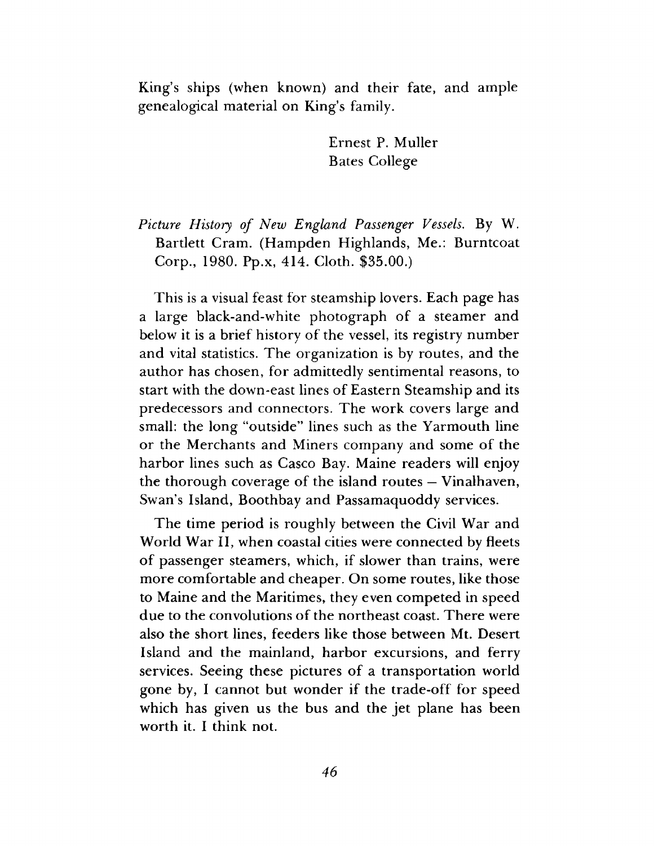King's ships (when known) and their fate, and ample genealogical material on King's family.

> Ernest P. Muller Bates College

*Picture History of New England Passenger Vessels*. By W. Bartlett Cram. (Hampden Highlands, Me.: Burntcoat Corp., 1980. Pp.x, 414. Cloth. \$35.00.)

This is a visual feast for steamship lovers. Each page has a large black-and-white photograph of a steamer and below it is a brief history of the vessel, its registry number and vital statistics. The organization is by routes, and the author has chosen, for admittedly sentimental reasons, to start with the down-east lines of Eastern Steamship and its predecessors and connectors. The work covers large and small: the long "outside" lines such as the Yarmouth line or the Merchants and Miners company and some of the harbor lines such as Casco Bay. Maine readers will enjoy the thorough coverage of the island routes — Vinalhaven, Swan's Island, Boothbay and Passamaquoddy services.

The time period is roughly between the Civil War and World War II, when coastal cities were connected by fleets of passenger steamers, which, if slower than trains, were more comfortable and cheaper. On some routes, like those to Maine and the Maritimes, they even competed in speed due to the convolutions of the northeast coast. There were also the short lines, feeders like those between Mt. Desert Island and the mainland, harbor excursions, and ferry services. Seeing these pictures of a transportation world gone by, I cannot but wonder if the trade-off for speed which has given us the bus and the jet plane has been worth it. I think not.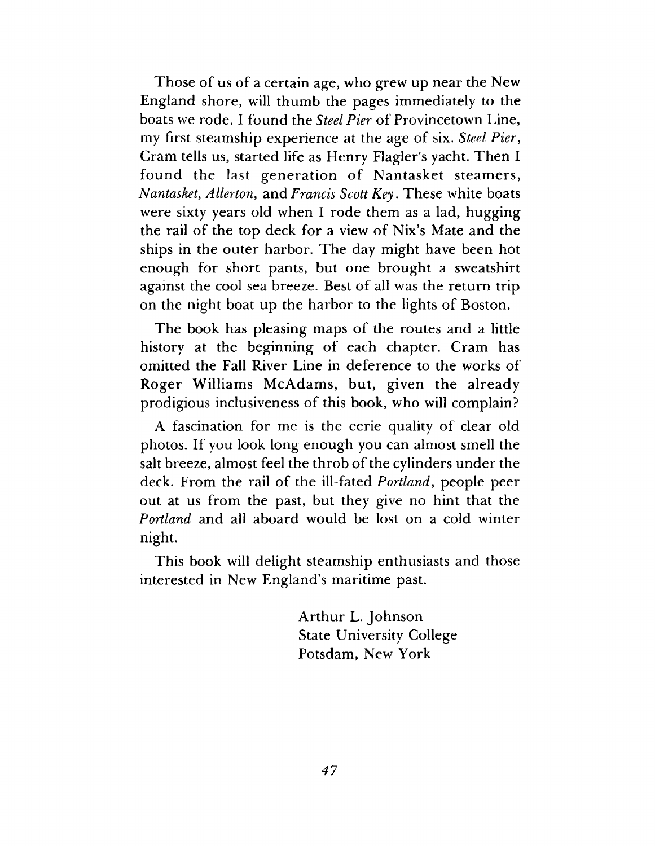Those of us of a certain age, who grew up near the New England shore, will thumb the pages immediately to the boats we rode. I found the *Steel Pier* of Provincetown Line, my first steamship experience at the age of six. *Steel Pier*, Cram tells us, started life as Henry Flagler's yacht. Then I found the last generation of Nantasket steamers, *Nantasket*, *Allerton,* and *Francis Scott Key*. These white boats were sixty years old when I rode them as a lad, hugging the rail of the top deck for a view of Nix's Mate and the ships in the outer harbor. The day might have been hot enough for short pants, but one brought a sweatshirt against the cool sea breeze. Best of all was the return trip on the night boat up the harbor to the lights of Boston.

The book has pleasing maps of the routes and a little history at the beginning of each chapter. Cram has omitted the Fall River Line in deference to the works of Roger Williams McAdams, but, given the already prodigious inclusiveness of this book, who will complain?

A fascination for me is the eerie quality of clear old photos. If you look long enough you can almost smell the salt breeze, almost feel the throb of the cylinders under the deck. From the rail of the ill-fated *Portland*, people peer out at us from the past, but they give no hint that the *Portland* and all aboard would be lost on a cold winter night.

This book will delight steamship enthusiasts and those interested in New England's maritime past.

> Arthur L. Johnson State University College Potsdam, New York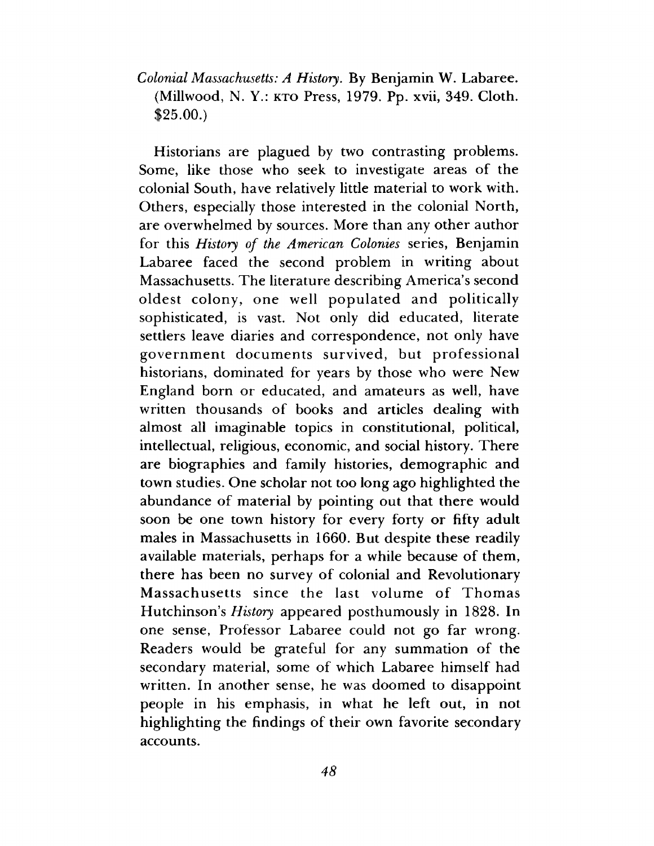### *Colonial Massachusetts: A History.* By Benjamin W. Labaree. (Millwood, N. Y.: KTO Press, 1979. Pp. xvii, 349. Cloth. \$25.00.)

Historians are plagued by two contrasting problems. Some, like those who seek to investigate areas of the colonial South, have relatively little material to work with. Others, especially those interested in the colonial North, are overwhelmed by sources. More than any other author for this *History of the American Colonies* series, Benjamin Labaree faced the second problem in writing about Massachusetts. The literature describing America's second oldest colony, one well populated and politically sophisticated, is vast. Not only did educated, literate settlers leave diaries and correspondence, not only have government documents survived, but professional historians, dominated for years by those who were New England born or educated, and amateurs as well, have written thousands of books and articles dealing with almost all imaginable topics in constitutional, political, intellectual, religious, economic, and social history. There are biographies and family histories, demographic and town studies. One scholar not too long ago highlighted the abundance of material by pointing out that there would soon be one town history for every forty or fifty adult males in Massachusetts in 1660. But despite these readily available materials, perhaps for a while because of them, there has been no survey of colonial and Revolutionary Massachusetts since the last volume of Thomas Hutchinson's *History* appeared posthumously in 1828. In one sense, Professor Labaree could not go far wrong. Readers would be grateful for any summation of the secondary material, some of which Labaree himself had written. In another sense, he was doomed to disappoint people in his emphasis, in what he left out, in not highlighting the findings of their own favorite secondary accounts.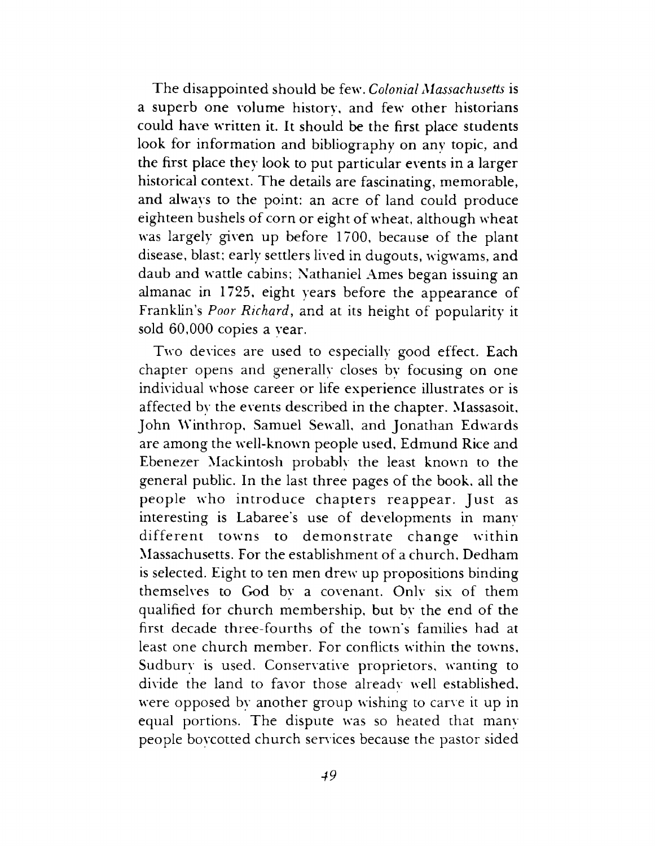The disappointed should be few. *Colonial Massachusetts* is a superb one volume history, and few other historians could have written it. It should be the first place students look for information and bibliography on any topic, and the first place they look to put particular events in a larger historical context. The details are fascinating, memorable, and always to the point: an acre of land could produce eighteen bushels of corn or eight of wheat, although wheat was largely given up before 1700, because of the plant disease, blast; early settlers lived in dugouts, wigwams, and daub and wattle cabins; Nathaniel Ames began issuing an almanac in 1725, eight years before the appearance of Franklin's *Poor Richard*, and at its height of popularity it sold 60,000 copies a year.

Two devices are used to especially good effect. Each chapter opens and generally closes by focusing on one individual whose career or life experience illustrates or is affected by the events described in the chapter. Massasoit, John Winthrop, Samuel Sewall, and Jonathan Edwards are among the well-known people used, Edmund Rice and Ebenezer Mackintosh probably the least known to the general public. In the last three pages of the book, all the people who introduce chapters reappear. Just as interesting is Labaree's use of developments in many different towns to demonstrate change within Massachusetts. For the establishment of a church, Dedham is selected. Eight to ten men drew up propositions binding themselves to God by a covenant. Onlv six of them qualified for church membership, but bv the end of the first decade three-fourths of the town's families had at least one church member. For conflicts within the towns, Sudburv is used. Conservative proprietors, wanting to divide the land to favor those already well established, were opposed by another group wishing to carve it up in equal portions. The dispute was so heated that manv people boycotted church services because the pastor sided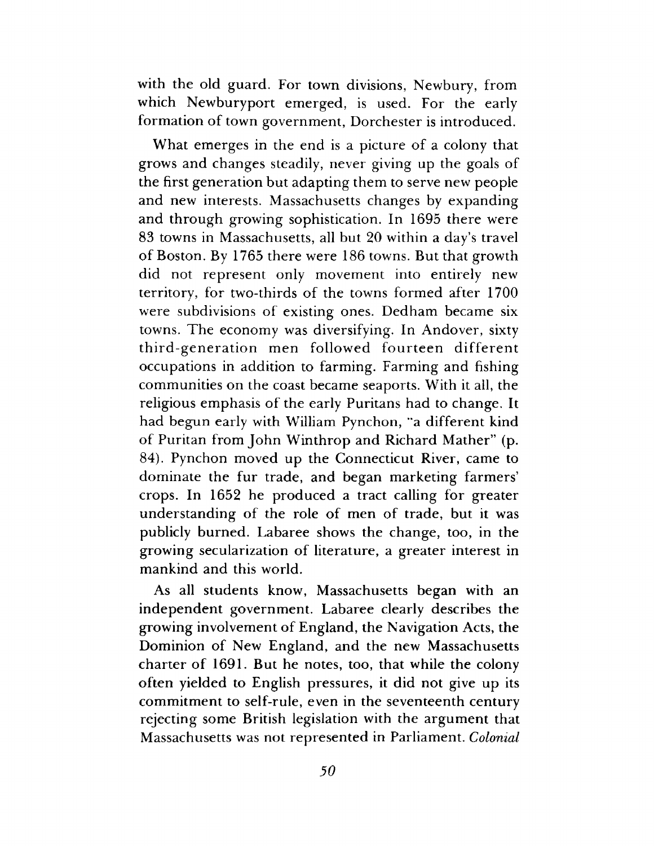with the old guard. For town divisions, Newbury, from which Newburyport emerged, is used. For the early formation of town government, Dorchester is introduced.

What emerges in the end is a picture of a colony that grows and changes steadily, never giving up the goals of the first generation but adapting them to serve new people and new interests. Massachusetts changes by expanding and through growing sophistication. In 1695 there were 83 towns in Massachusetts, all but 20 within a day's travel of Boston. By 1765 there were 186 towns. But that growth did not represent only movement into entirely new territory, for two-thirds of the towns formed after 1700 were subdivisions of existing ones. Dedham became six towns. The economy was diversifying. In Andover, sixty third-generation men followed fourteen different occupations in addition to farming. Farming and fishing communities on the coast became seaports. With it all, the religious emphasis of the early Puritans had to change. It had begun early with William Pynchon, "a different kind of Puritan from John Winthrop and Richard Mather" (p. 84). Pynchon moved up the Connecticut River, came to dominate the fur trade, and began marketing farmers' crops. In 1652 he produced a tract calling for greater understanding of the role of men of trade, but it was publicly burned. Labaree shows the change, too, in the growing secularization of literature, a greater interest in mankind and this world.

As all students know, Massachusetts began with an independent government. Labaree clearly describes the growing involvement of England, the Navigation Acts, the Dominion of New England, and the new Massachusetts charter of 1691. But he notes, too, that while the colony often yielded to English pressures, it did not give up its commitment to self-rule, even in the seventeenth century rejecting some British legislation with the argument that Massachusetts was not represented in Parliament. *Colonial*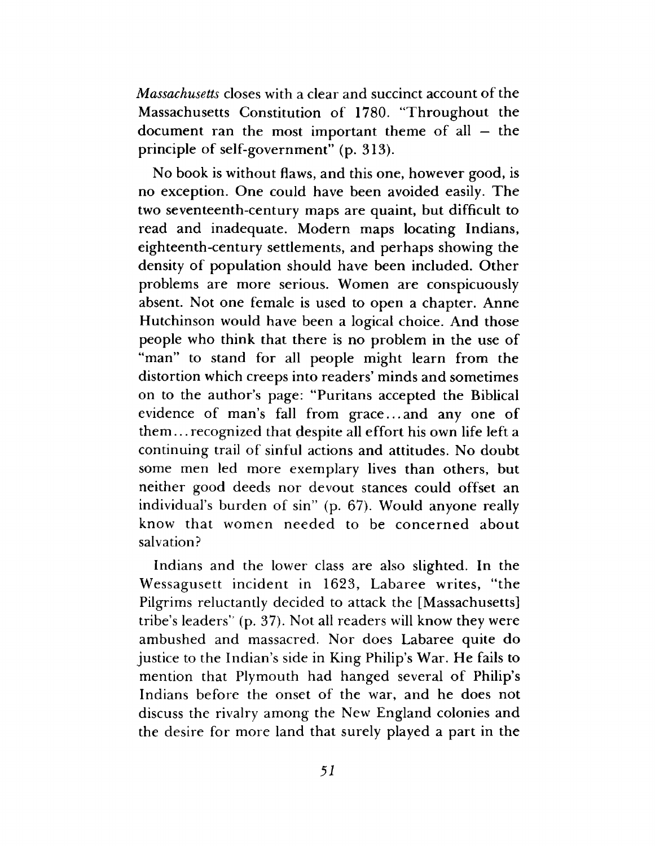*Massachusetts* closes with a clear and succinct account of the Massachusetts Constitution of 1780. "Throughout the document ran the most important theme of all — the principle of self-government" (p. 313).

No book is without flaws, and this one, however good, is no exception. One could have been avoided easily. The two seventeenth-century maps are quaint, but difficult to read and inadequate. Modern maps locating Indians, eighteenth-century settlements, and perhaps showing the density of population should have been included. Other problems are more serious. Women are conspicuously absent. Not one female is used to open a chapter. Anne Hutchinson would have been a logical choice. And those people who think that there is no problem in the use of "man" to stand for all people might learn from the distortion which creeps into readers' minds and sometimes on to the author's page: "Puritans accepted the Biblical evidence of man's fall from grace...and any one of them... recognized that despite all effort his own life left a continuing trail of sinful actions and attitudes. No doubt some men led more exemplary lives than others, but neither good deeds nor devout stances could offset an individual's burden of sin" (p. 67). Would anyone really know that women needed to be concerned about salvation?

Indians and the lower class are also slighted. In the Wessagusett incident in 1623, Labaree writes, "the Pilgrims reluctantly decided to attack the [Massachusetts] tribe's leaders" (p. 37). Not all readers will know they were ambushed and massacred. Nor does Labaree quite do justice to the Indian's side in King Philip's War. He fails to mention that Plymouth had hanged several of Philip's Indians before the onset of the war, and he does not discuss the rivalry among the New England colonies and the desire for more land that surely played a part in the